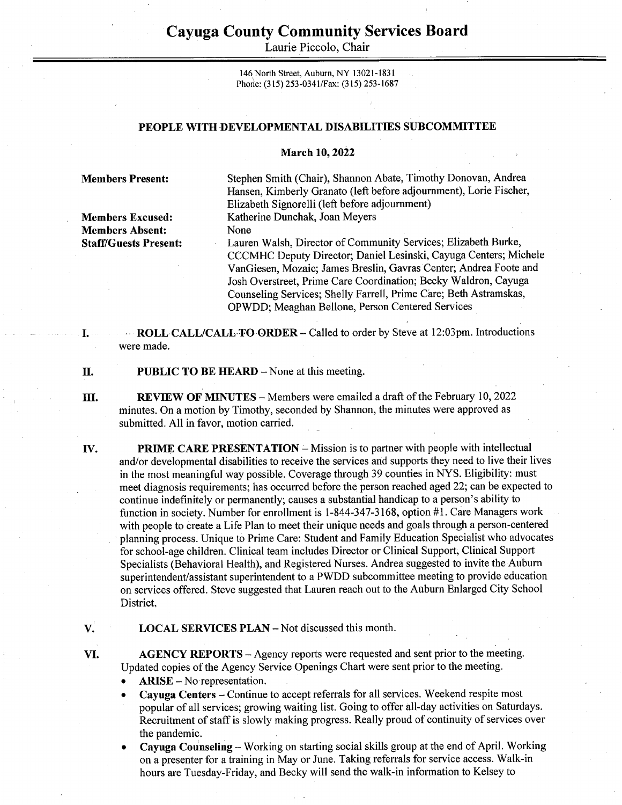## Cayuga County Community Services Board Cayuga County Comn<br>Laurie Pice

Laurie Piccolo, Chair

146 North Street, Auburn, NY 13021-1831 Phone: (315) 253-0341/Fax: (315) 253-1687

## PEOPLE WITH DEVELOPMENTAL DISABILITIES SUBCOMMITTEE

## March 10, 2022

Members Absent: None

Members Present: Stephen Smith (Chair), Shannon Abate, Timothy Donovan, Andrea Hansen, Kimberly Granato (left before adjournment), Lorie Fischer, Elizabeth Signorelli (left before adjournment) Members Excused: Katherine Dunchak, Joan Meyers

Staff/Guests Present: Lauren Walsh, Director of Community Services; Elizabeth Burke, CCCMHC Deputy Director; Daniel Lesinski, Cayuga Centers; Michele VanGiesen, Mozaic; James Breslin, Gavras Center; Andrea Foote and Josh Overstreet, Prime Care Coordination; Becky Waldron, Cayuga Counseling Services; Shelly Farrell, Prime Care; Beth Astramskas, OPWDD; Meaghan Bellone, Person Centered Services

-- ROLL CALL/CALL:TO-ORDER - Called to order by Steve at 12:03pm. Introductions were made.

PUBLIC TO BE HEARD - None at this meeting. II.

TH. REVIEW OF MINUTES — Members were emailed a draft of the February 10, 2022 minutes. On a motion by Timothy, seconded by Shannon, the minutes were approved as submitted. All in favor, motion carried.

**PRIME CARE PRESENTATION** – Mission is to partner with people with intellectual IV. and/or developmental disabilities to receive the services and supports they need to live their lives in the most meaningful way possible. Coverage through 39 counties in NYS. Eligibility: must meet diagnosis requirements; has occurred before the person reached aged 22; can be expected to continue indefinitely or permanently; causes a substantial handicap to a person's ability to function in society. Number for enrollment is 1-844-347-3168, option #1. Care Managers work with people to create a Life Plan to meet their unique needs and goals through a person-centered ' planning process. Unique to Prime Care: Student and Family Education Specialist who advocates for school-age children. Clinical team includes Director or Clinical Support, Clinical Support Specialists (Behavioral Health), and Registered Nurses. Andrea suggested to invite the Auburn superintendent/assistant superintendent to a PWDD subcommittee meeting to provide education on services offered. Steve suggested that Lauren reach out to the Auburn Enlarged City School District.

V. LOCAL SERVICES PLAN — Not discussed this month.

> AGENCY REPORTS — Agency reports were requested and sent prior to the meeting. Updated copies of the Agency Service Openings Chart were sent prior to the meeting.

 $ARISE - No representation.$ 

VI.

- e Cayuga Centers Continue to accept referrals for all services. Weekend respite most
- popular of all services; growing waiting list. Going to offer all-day activities on Saturdays. Recruitment of staff is slowly making progress. Really proud of continuity of services over the pandemic. .
- e Cayuga Counseling Working on starting social skills group at the end of April. Working on a presenter for a training in May or June. Taking referrals for service access. Walk-in hours are Tuesday-Friday, and Becky will send the walk-in information to Kelsey to